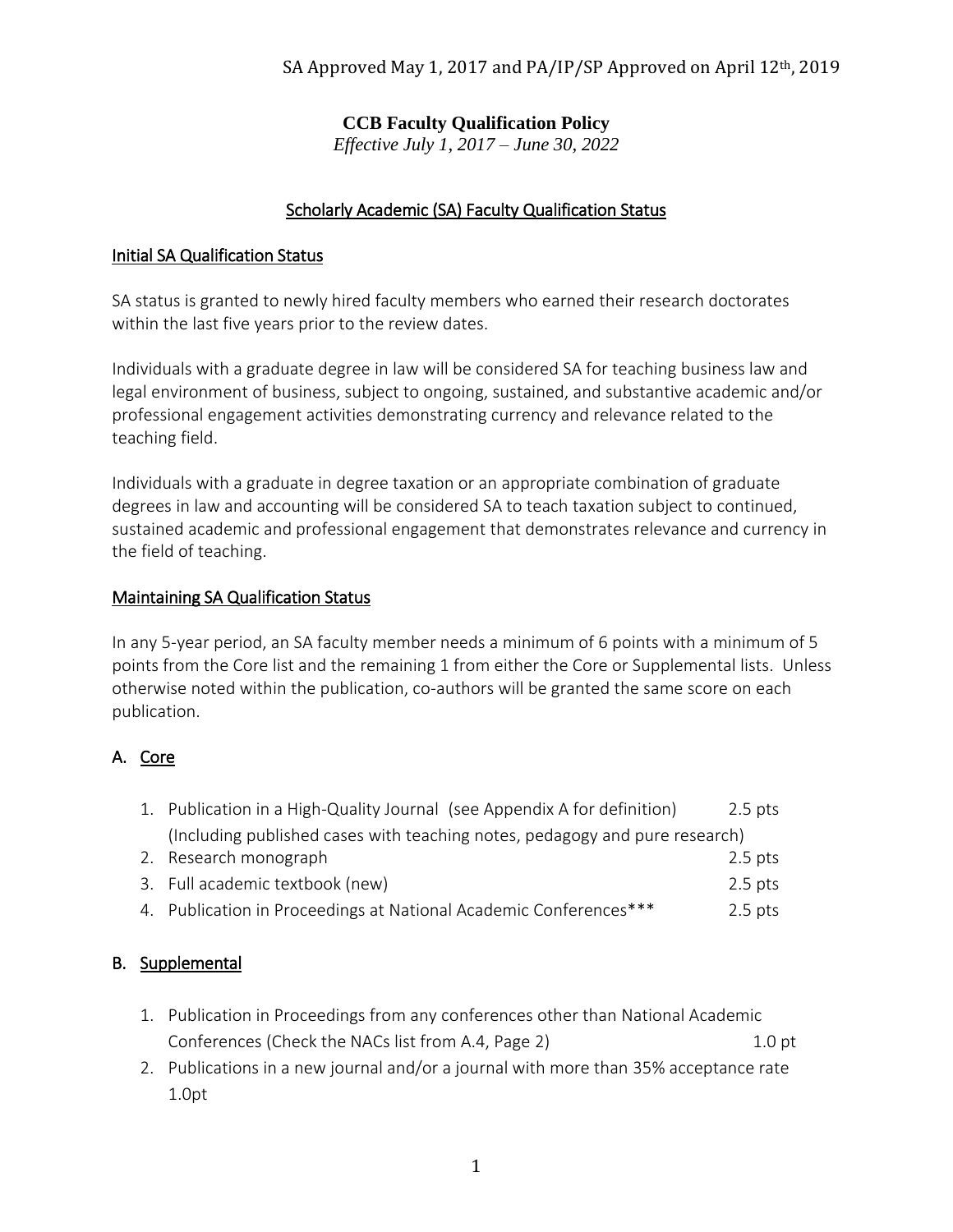# **CCB Faculty Qualification Policy**

*Effective July 1, 2017 – June 30, 2022*

### Scholarly Academic (SA) Faculty Qualification Status

#### Initial SA Qualification Status

SA status is granted to newly hired faculty members who earned their research doctorates within the last five years prior to the review dates.

Individuals with a graduate degree in law will be considered SA for teaching business law and legal environment of business, subject to ongoing, sustained, and substantive academic and/or professional engagement activities demonstrating currency and relevance related to the teaching field.

Individuals with a graduate in degree taxation or an appropriate combination of graduate degrees in law and accounting will be considered SA to teach taxation subject to continued, sustained academic and professional engagement that demonstrates relevance and currency in the field of teaching.

#### Maintaining SA Qualification Status

In any 5-year period, an SA faculty member needs a minimum of 6 points with a minimum of 5 points from the Core list and the remaining 1 from either the Core or Supplemental lists. Unless otherwise noted within the publication, co-authors will be granted the same score on each publication.

### A. Core

| 1. Publication in a High-Quality Journal (see Appendix A for definition)    | 2.5 pts   |
|-----------------------------------------------------------------------------|-----------|
| (Including published cases with teaching notes, pedagogy and pure research) |           |
| 2. Research monograph                                                       | 2.5 pts   |
| 3. Full academic textbook (new)                                             | $2.5$ pts |

4. Publication in Proceedings at National Academic Conferences\*\*\* 2.5 pts

## B. Supplemental

- 1. Publication in Proceedings from any conferences other than National Academic Conferences (Check the NACs list from A.4, Page 2) 1.0 pt
- 2. Publications in a new journal and/or a journal with more than 35% acceptance rate 1.0pt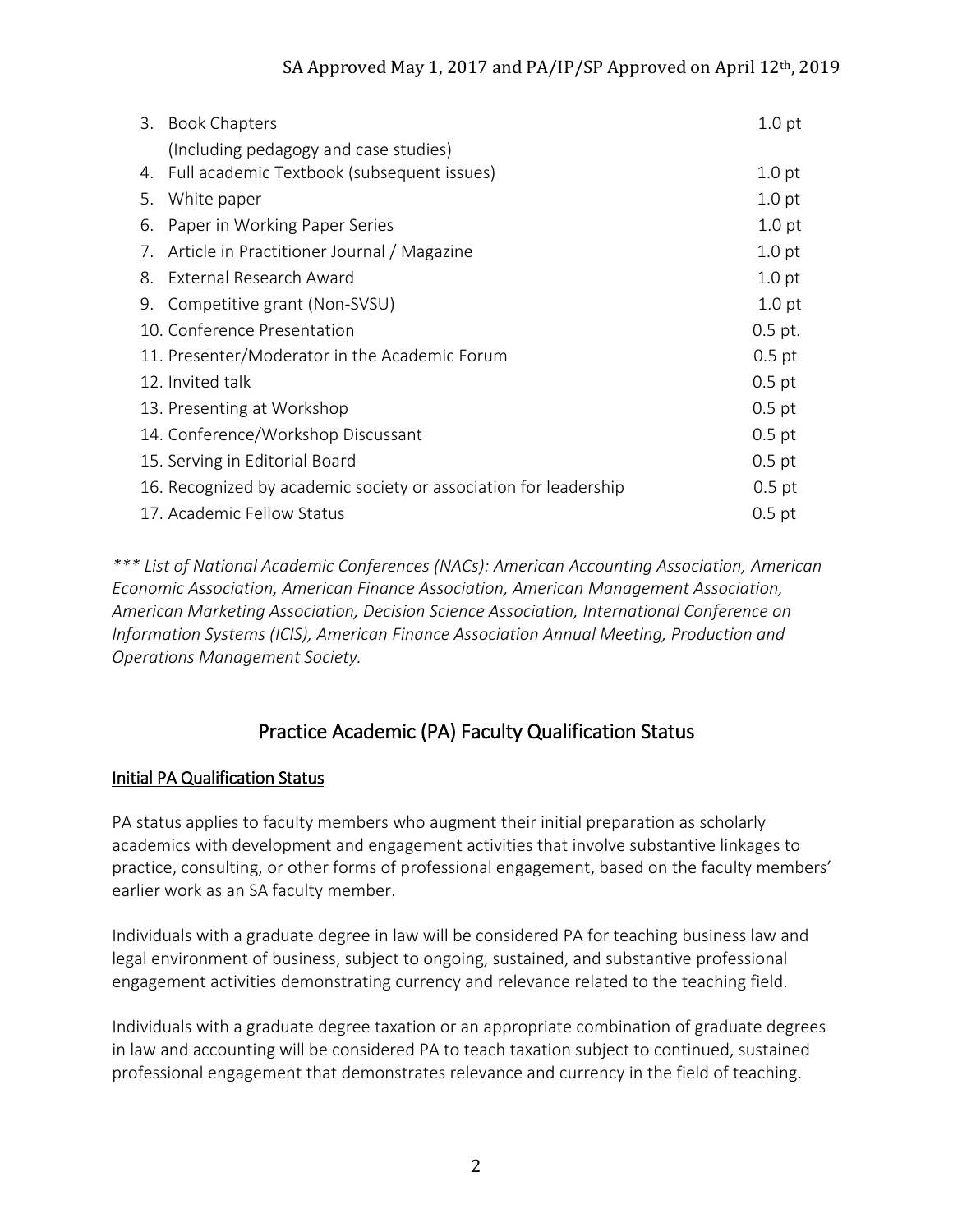|    | 3. Book Chapters                                                 | 1.0 <sub>pt</sub> |
|----|------------------------------------------------------------------|-------------------|
|    | (Including pedagogy and case studies)                            |                   |
| 4. | Full academic Textbook (subsequent issues)                       | 1.0 <sub>pt</sub> |
| 5. | White paper                                                      | 1.0 <sub>pt</sub> |
| 6. | Paper in Working Paper Series                                    | 1.0 <sub>pt</sub> |
| 7. | Article in Practitioner Journal / Magazine                       | 1.0 <sub>pt</sub> |
|    | 8. External Research Award                                       | 1.0 <sub>pt</sub> |
|    | 9. Competitive grant (Non-SVSU)                                  | 1.0 <sub>pt</sub> |
|    | 10. Conference Presentation                                      | $0.5$ pt.         |
|    | 11. Presenter/Moderator in the Academic Forum                    | $0.5$ pt          |
|    | 12. Invited talk                                                 | $0.5$ pt          |
|    | 13. Presenting at Workshop                                       | $0.5$ pt          |
|    | 14. Conference/Workshop Discussant                               | $0.5$ pt          |
|    | 15. Serving in Editorial Board                                   | $0.5$ pt          |
|    | 16. Recognized by academic society or association for leadership | $0.5$ pt          |
|    | 17. Academic Fellow Status                                       | $0.5$ pt          |

*\*\*\* List of National Academic Conferences (NACs): American Accounting Association, American Economic Association, American Finance Association, American Management Association, American Marketing Association, Decision Science Association, International Conference on Information Systems (ICIS), American Finance Association Annual Meeting, Production and Operations Management Society.* 

# Practice Academic (PA) Faculty Qualification Status

## Initial PA Qualification Status

PA status applies to faculty members who augment their initial preparation as scholarly academics with development and engagement activities that involve substantive linkages to practice, consulting, or other forms of professional engagement, based on the faculty members' earlier work as an SA faculty member.

Individuals with a graduate degree in law will be considered PA for teaching business law and legal environment of business, subject to ongoing, sustained, and substantive professional engagement activities demonstrating currency and relevance related to the teaching field.

Individuals with a graduate degree taxation or an appropriate combination of graduate degrees in law and accounting will be considered PA to teach taxation subject to continued, sustained professional engagement that demonstrates relevance and currency in the field of teaching.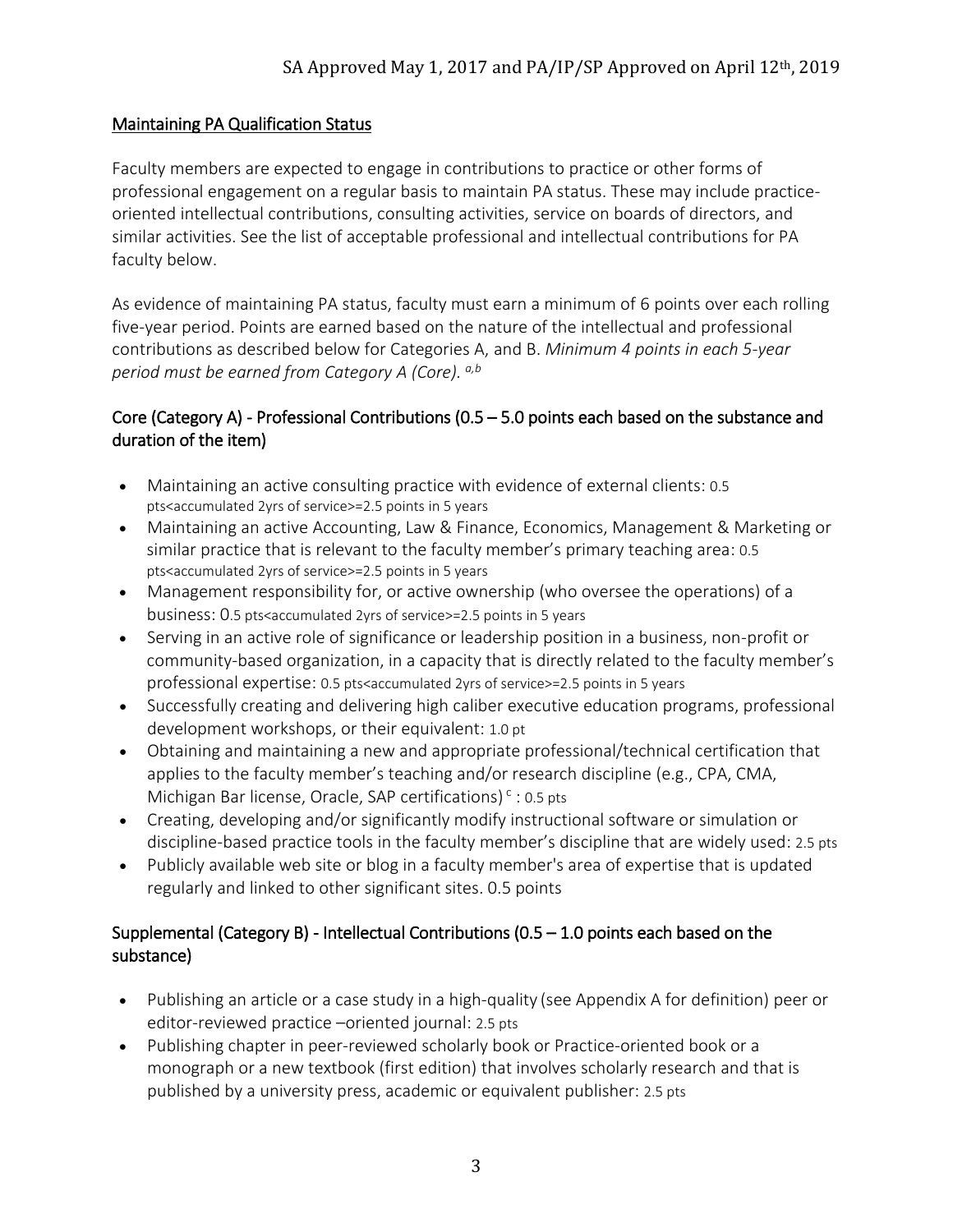#### Maintaining PA Qualification Status

Faculty members are expected to engage in contributions to practice or other forms of professional engagement on a regular basis to maintain PA status. These may include practiceoriented intellectual contributions, consulting activities, service on boards of directors, and similar activities. See the list of acceptable professional and intellectual contributions for PA faculty below.

As evidence of maintaining PA status, faculty must earn a minimum of 6 points over each rolling five-year period. Points are earned based on the nature of the intellectual and professional contributions as described below for Categories A, and B. *Minimum 4 points in each 5-year period must be earned from Category A (Core). a,b*

#### Core (Category A) - Professional Contributions (0.5 – 5.0 points each based on the substance and duration of the item)

- Maintaining an active consulting practice with evidence of external clients: 0.5 pts<accumulated 2yrs of service>=2.5 points in 5 years
- Maintaining an active Accounting, Law & Finance, Economics, Management & Marketing or similar practice that is relevant to the faculty member's primary teaching area: 0.5 pts<accumulated 2yrs of service>=2.5 points in 5 years
- Management responsibility for, or active ownership (who oversee the operations) of a business: 0.5 pts<accumulated 2yrs of service>=2.5 points in 5 years
- Serving in an active role of significance or leadership position in a business, non-profit or community-based organization, in a capacity that is directly related to the faculty member's professional expertise: 0.5 pts<accumulated 2yrs of service>=2.5 points in 5 years
- Successfully creating and delivering high caliber executive education programs, professional development workshops, or their equivalent: 1.0 pt
- Obtaining and maintaining a new and appropriate professional/technical certification that applies to the faculty member's teaching and/or research discipline (e.g., CPA, CMA, Michigan Bar license, Oracle, SAP certifications)<sup>c</sup>: 0.5 pts
- Creating, developing and/or significantly modify instructional software or simulation or discipline-based practice tools in the faculty member's discipline that are widely used: 2.5 pts
- Publicly available web site or blog in a faculty member's area of expertise that is updated regularly and linked to other significant sites. 0.5 points

### Supplemental (Category B) - Intellectual Contributions (0.5 – 1.0 points each based on the substance)

- Publishing an article or a case study in a high-quality (see Appendix A for definition) peer or editor-reviewed practice –oriented journal: 2.5 pts
- Publishing chapter in peer-reviewed scholarly book or Practice-oriented book or a monograph or a new textbook (first edition) that involves scholarly research and that is published by a university press, academic or equivalent publisher: 2.5 pts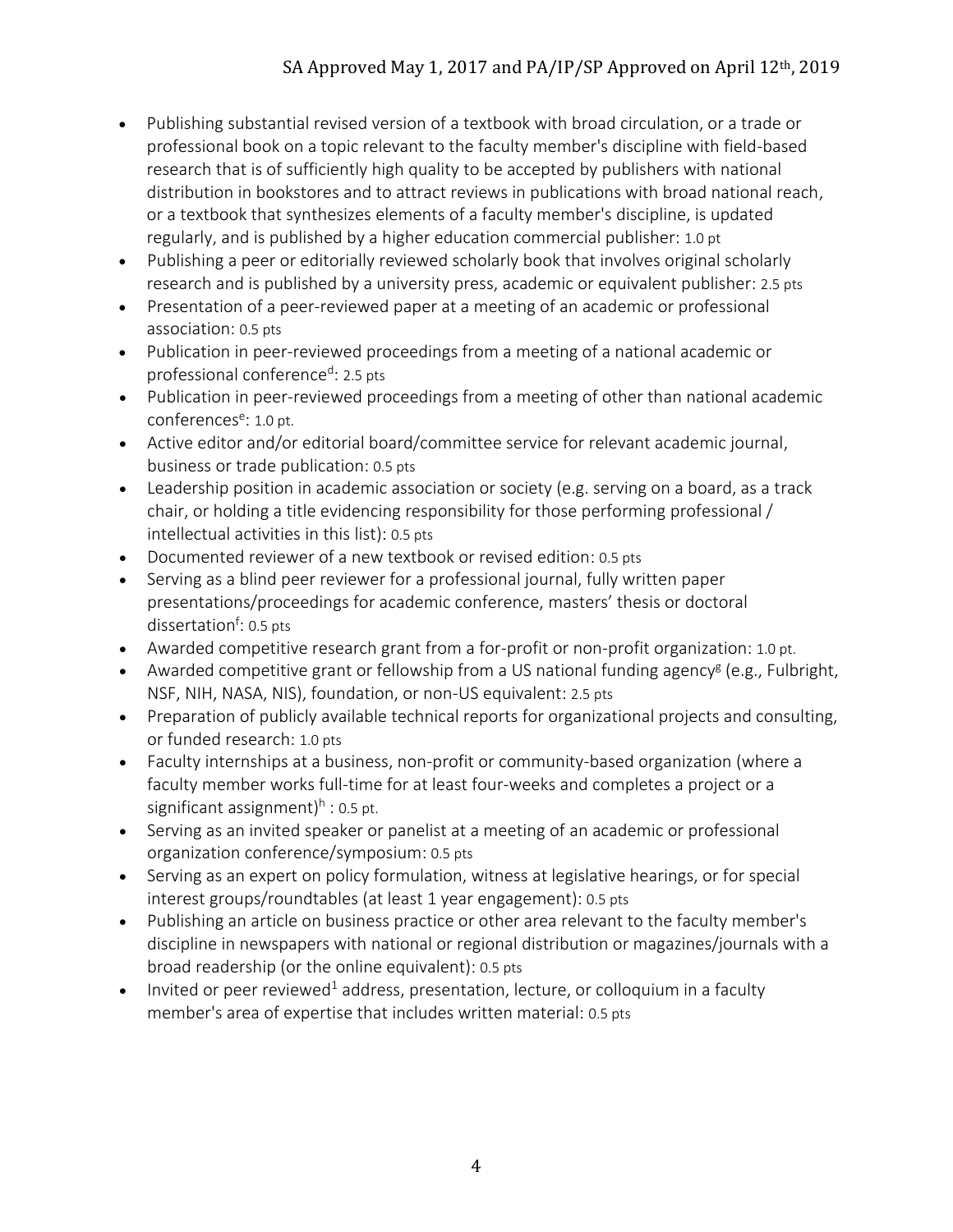- Publishing substantial revised version of a textbook with broad circulation, or a trade or professional book on a topic relevant to the faculty member's discipline with field-based research that is of sufficiently high quality to be accepted by publishers with national distribution in bookstores and to attract reviews in publications with broad national reach, or a textbook that synthesizes elements of a faculty member's discipline, is updated regularly, and is published by a higher education commercial publisher: 1.0 pt
- Publishing a peer or editorially reviewed scholarly book that involves original scholarly research and is published by a university press, academic or equivalent publisher: 2.5 pts
- Presentation of a peer-reviewed paper at a meeting of an academic or professional association: 0.5 pts
- Publication in peer-reviewed proceedings from a meeting of a national academic or professional conference<sup>d</sup>: 2.5 pts
- Publication in peer-reviewed proceedings from a meeting of other than national academic conferences<sup>e</sup>: 1.0 pt.
- Active editor and/or editorial board/committee service for relevant academic journal, business or trade publication: 0.5 pts
- Leadership position in academic association or society (e.g. serving on a board, as a track chair, or holding a title evidencing responsibility for those performing professional / intellectual activities in this list): 0.5 pts
- Documented reviewer of a new textbook or revised edition: 0.5 pts
- Serving as a blind peer reviewer for a professional journal, fully written paper presentations/proceedings for academic conference, masters' thesis or doctoral dissertation<sup>f</sup>: 0.5 pts
- Awarded competitive research grant from a for-profit or non-profit organization: 1.0 pt.
- Awarded competitive grant or fellowship from a US national funding agency<sup>g</sup> (e.g., Fulbright, NSF, NIH, NASA, NIS), foundation, or non-US equivalent: 2.5 pts
- Preparation of publicly available technical reports for organizational projects and consulting, or funded research: 1.0 pts
- Faculty internships at a business, non-profit or community-based organization (where a faculty member works full-time for at least four-weeks and completes a project or a significant assignment)<sup>h</sup> : 0.5 pt.
- Serving as an invited speaker or panelist at a meeting of an academic or professional organization conference/symposium: 0.5 pts
- Serving as an expert on policy formulation, witness at legislative hearings, or for special interest groups/roundtables (at least 1 year engagement): 0.5 pts
- Publishing an article on business practice or other area relevant to the faculty member's discipline in newspapers with national or regional distribution or magazines/journals with a broad readership (or the online equivalent): 0.5 pts
- Invited or peer reviewed<sup>1</sup> address, presentation, lecture, or colloquium in a faculty member's area of expertise that includes written material: 0.5 pts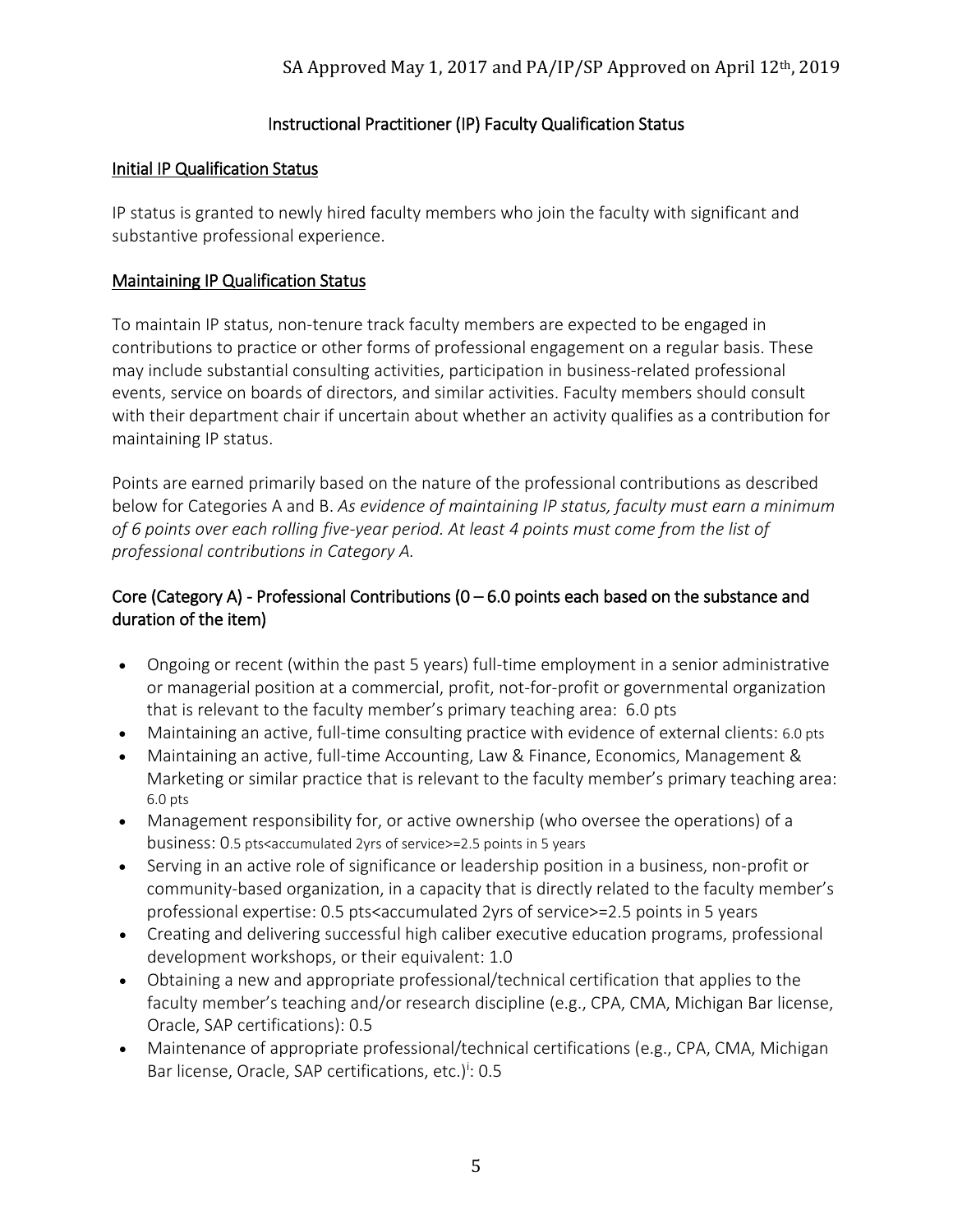### Instructional Practitioner (IP) Faculty Qualification Status

#### Initial IP Qualification Status

IP status is granted to newly hired faculty members who join the faculty with significant and substantive professional experience.

#### Maintaining IP Qualification Status

To maintain IP status, non-tenure track faculty members are expected to be engaged in contributions to practice or other forms of professional engagement on a regular basis. These may include substantial consulting activities, participation in business-related professional events, service on boards of directors, and similar activities. Faculty members should consult with their department chair if uncertain about whether an activity qualifies as a contribution for maintaining IP status.

Points are earned primarily based on the nature of the professional contributions as described below for Categories A and B. *As evidence of maintaining IP status, faculty must earn a minimum of 6 points over each rolling five-year period. At least 4 points must come from the list of professional contributions in Category A.*

### Core (Category A) - Professional Contributions ( $0 - 6.0$  points each based on the substance and duration of the item)

- Ongoing or recent (within the past 5 years) full-time employment in a senior administrative or managerial position at a commercial, profit, not-for-profit or governmental organization that is relevant to the faculty member's primary teaching area: 6.0 pts
- Maintaining an active, full-time consulting practice with evidence of external clients: 6.0 pts
- Maintaining an active, full-time Accounting, Law & Finance, Economics, Management & Marketing or similar practice that is relevant to the faculty member's primary teaching area: 6.0 pts
- Management responsibility for, or active ownership (who oversee the operations) of a business: 0.5 pts<accumulated 2yrs of service>=2.5 points in 5 years
- Serving in an active role of significance or leadership position in a business, non-profit or community-based organization, in a capacity that is directly related to the faculty member's professional expertise: 0.5 pts<accumulated 2yrs of service>=2.5 points in 5 years
- Creating and delivering successful high caliber executive education programs, professional development workshops, or their equivalent: 1.0
- Obtaining a new and appropriate professional/technical certification that applies to the faculty member's teaching and/or research discipline (e.g., CPA, CMA, Michigan Bar license, Oracle, SAP certifications): 0.5
- Maintenance of appropriate professional/technical certifications (e.g., CPA, CMA, Michigan Bar license, Oracle, SAP certifications, etc.)<sup>i</sup>: 0.5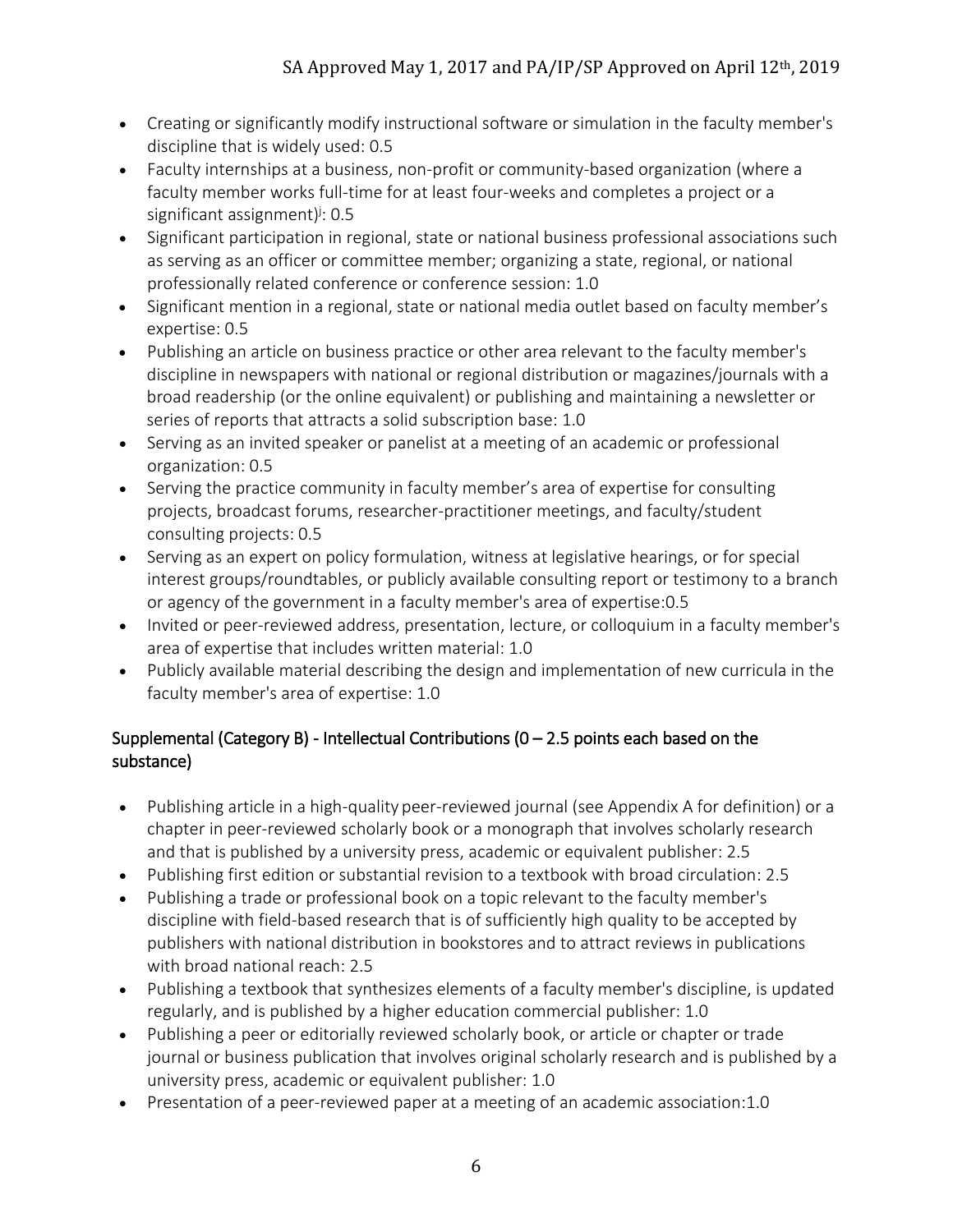- Creating or significantly modify instructional software or simulation in the faculty member's discipline that is widely used: 0.5
- Faculty internships at a business, non-profit or community-based organization (where a faculty member works full-time for at least four-weeks and completes a project or a significant assignment)<sup>j</sup>: 0.5
- Significant participation in regional, state or national business professional associations such as serving as an officer or committee member; organizing a state, regional, or national professionally related conference or conference session: 1.0
- Significant mention in a regional, state or national media outlet based on faculty member's expertise: 0.5
- Publishing an article on business practice or other area relevant to the faculty member's discipline in newspapers with national or regional distribution or magazines/journals with a broad readership (or the online equivalent) or publishing and maintaining a newsletter or series of reports that attracts a solid subscription base: 1.0
- Serving as an invited speaker or panelist at a meeting of an academic or professional organization: 0.5
- Serving the practice community in faculty member's area of expertise for consulting projects, broadcast forums, researcher-practitioner meetings, and faculty/student consulting projects: 0.5
- Serving as an expert on policy formulation, witness at legislative hearings, or for special interest groups/roundtables, or publicly available consulting report or testimony to a branch or agency of the government in a faculty member's area of expertise:0.5
- Invited or peer-reviewed address, presentation, lecture, or colloquium in a faculty member's area of expertise that includes written material: 1.0
- Publicly available material describing the design and implementation of new curricula in the faculty member's area of expertise: 1.0

## Supplemental (Category B) - Intellectual Contributions ( $0 - 2.5$  points each based on the substance)

- Publishing article in a high-quality peer-reviewed journal (see Appendix A for definition) or a chapter in peer-reviewed scholarly book or a monograph that involves scholarly research and that is published by a university press, academic or equivalent publisher: 2.5
- Publishing first edition or substantial revision to a textbook with broad circulation: 2.5
- Publishing a trade or professional book on a topic relevant to the faculty member's discipline with field-based research that is of sufficiently high quality to be accepted by publishers with national distribution in bookstores and to attract reviews in publications with broad national reach: 2.5
- Publishing a textbook that synthesizes elements of a faculty member's discipline, is updated regularly, and is published by a higher education commercial publisher: 1.0
- Publishing a peer or editorially reviewed scholarly book, or article or chapter or trade journal or business publication that involves original scholarly research and is published by a university press, academic or equivalent publisher: 1.0
- Presentation of a peer-reviewed paper at a meeting of an academic association:1.0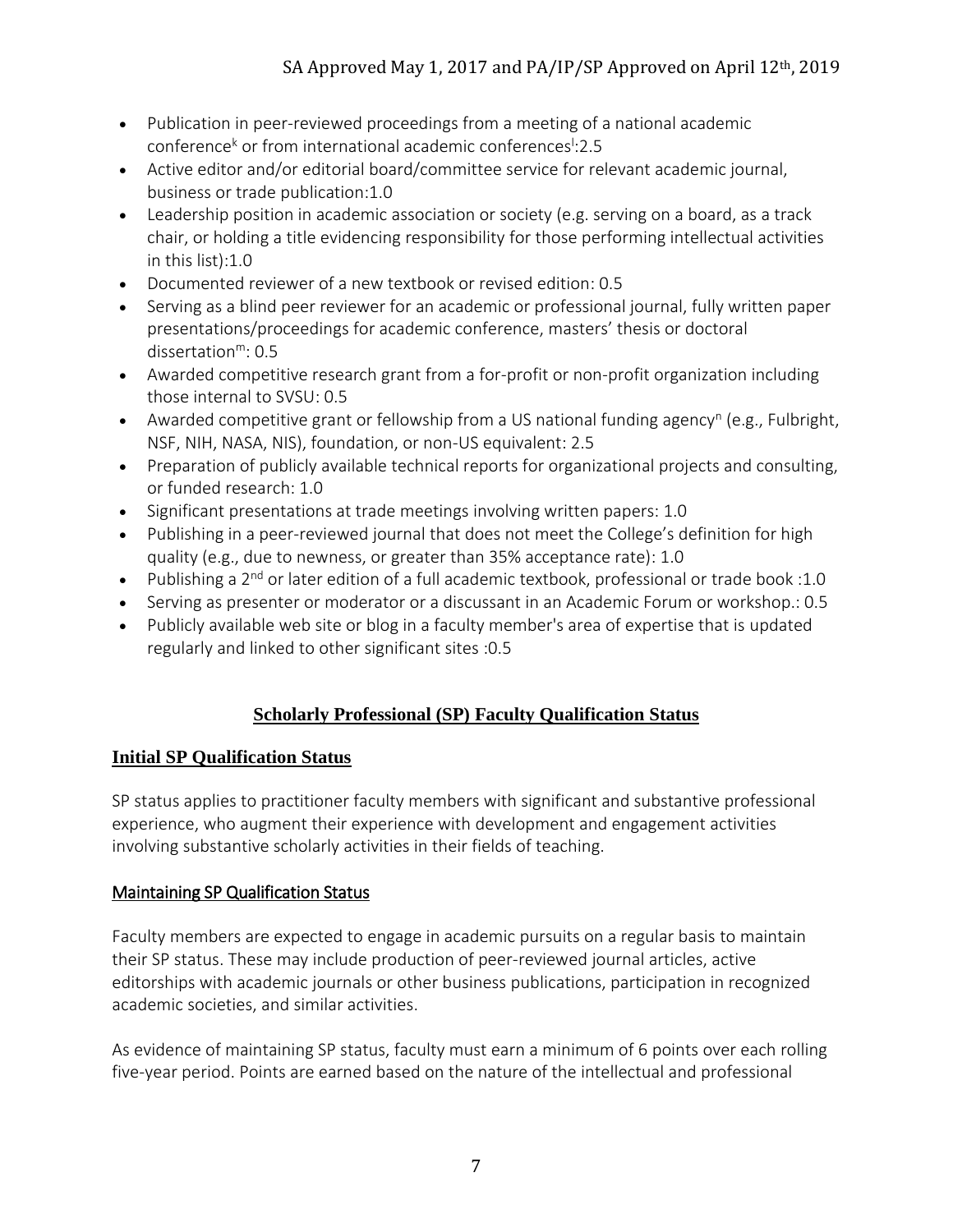- Publication in peer-reviewed proceedings from a meeting of a national academic conference<sup>k</sup> or from international academic conferences<sup>1</sup>:2.5
- Active editor and/or editorial board/committee service for relevant academic journal, business or trade publication:1.0
- Leadership position in academic association or society (e.g. serving on a board, as a track chair, or holding a title evidencing responsibility for those performing intellectual activities in this list):1.0
- Documented reviewer of a new textbook or revised edition: 0.5
- Serving as a blind peer reviewer for an academic or professional journal, fully written paper presentations/proceedings for academic conference, masters' thesis or doctoral dissertation<sup>m</sup>: 0.5
- Awarded competitive research grant from a for-profit or non-profit organization including those internal to SVSU: 0.5
- Awarded competitive grant or fellowship from a US national funding agency<sup>n</sup> (e.g., Fulbright, NSF, NIH, NASA, NIS), foundation, or non-US equivalent: 2.5
- Preparation of publicly available technical reports for organizational projects and consulting, or funded research: 1.0
- Significant presentations at trade meetings involving written papers: 1.0
- Publishing in a peer-reviewed journal that does not meet the College's definition for high quality (e.g., due to newness, or greater than 35% acceptance rate): 1.0
- Publishing a  $2^{nd}$  or later edition of a full academic textbook, professional or trade book :1.0
- Serving as presenter or moderator or a discussant in an Academic Forum or workshop.: 0.5
- Publicly available web site or blog in a faculty member's area of expertise that is updated regularly and linked to other significant sites :0.5

## **Scholarly Professional (SP) Faculty Qualification Status**

### **Initial SP Qualification Status**

SP status applies to practitioner faculty members with significant and substantive professional experience, who augment their experience with development and engagement activities involving substantive scholarly activities in their fields of teaching.

### Maintaining SP Qualification Status

Faculty members are expected to engage in academic pursuits on a regular basis to maintain their SP status. These may include production of peer-reviewed journal articles, active editorships with academic journals or other business publications, participation in recognized academic societies, and similar activities.

As evidence of maintaining SP status, faculty must earn a minimum of 6 points over each rolling five-year period. Points are earned based on the nature of the intellectual and professional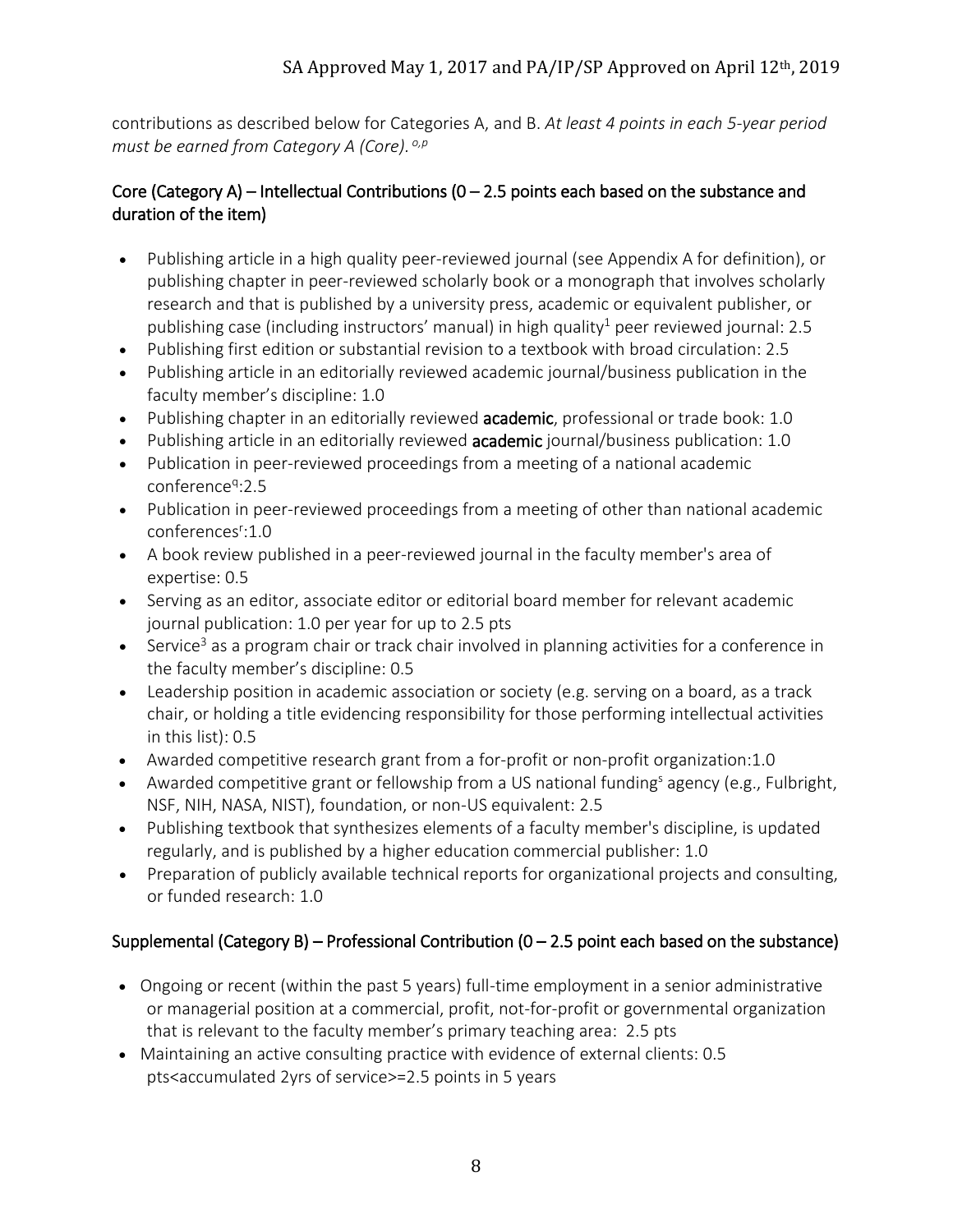contributions as described below for Categories A, and B. *At least 4 points in each 5-year period must be earned from Category A (Core). o,p*

### Core (Category A) – Intellectual Contributions ( $0 - 2.5$  points each based on the substance and duration of the item)

- Publishing article in a high quality peer-reviewed journal (see Appendix A for definition), or publishing chapter in peer-reviewed scholarly book or a monograph that involves scholarly research and that is published by a university press, academic or equivalent publisher, or publishing case (including instructors' manual) in high quality<sup>1</sup> peer reviewed journal: 2.5
- Publishing first edition or substantial revision to a textbook with broad circulation: 2.5
- Publishing article in an editorially reviewed academic journal/business publication in the faculty member's discipline: 1.0
- Publishing chapter in an editorially reviewed academic, professional or trade book: 1.0
- Publishing article in an editorially reviewed **academic** journal/business publication: 1.0
- Publication in peer-reviewed proceedings from a meeting of a national academic conference<sup>q</sup>:2.5
- Publication in peer-reviewed proceedings from a meeting of other than national academic conferences<sup>r</sup>:1.0
- A book review published in a peer-reviewed journal in the faculty member's area of expertise: 0.5
- Serving as an editor, associate editor or editorial board member for relevant academic journal publication: 1.0 per year for up to 2.5 pts
- Service<sup>3</sup> as a program chair or track chair involved in planning activities for a conference in the faculty member's discipline: 0.5
- Leadership position in academic association or society (e.g. serving on a board, as a track chair, or holding a title evidencing responsibility for those performing intellectual activities in this list): 0.5
- Awarded competitive research grant from a for-profit or non-profit organization:1.0
- Awarded competitive grant or fellowship from a US national funding<sup>s</sup> agency (e.g., Fulbright, NSF, NIH, NASA, NIST), foundation, or non-US equivalent: 2.5
- Publishing textbook that synthesizes elements of a faculty member's discipline, is updated regularly, and is published by a higher education commercial publisher: 1.0
- Preparation of publicly available technical reports for organizational projects and consulting, or funded research: 1.0

## Supplemental (Category B) – Professional Contribution ( $0 - 2.5$  point each based on the substance)

- Ongoing or recent (within the past 5 years) full-time employment in a senior administrative or managerial position at a commercial, profit, not-for-profit or governmental organization that is relevant to the faculty member's primary teaching area: 2.5 pts
- Maintaining an active consulting practice with evidence of external clients: 0.5 pts<accumulated 2yrs of service>=2.5 points in 5 years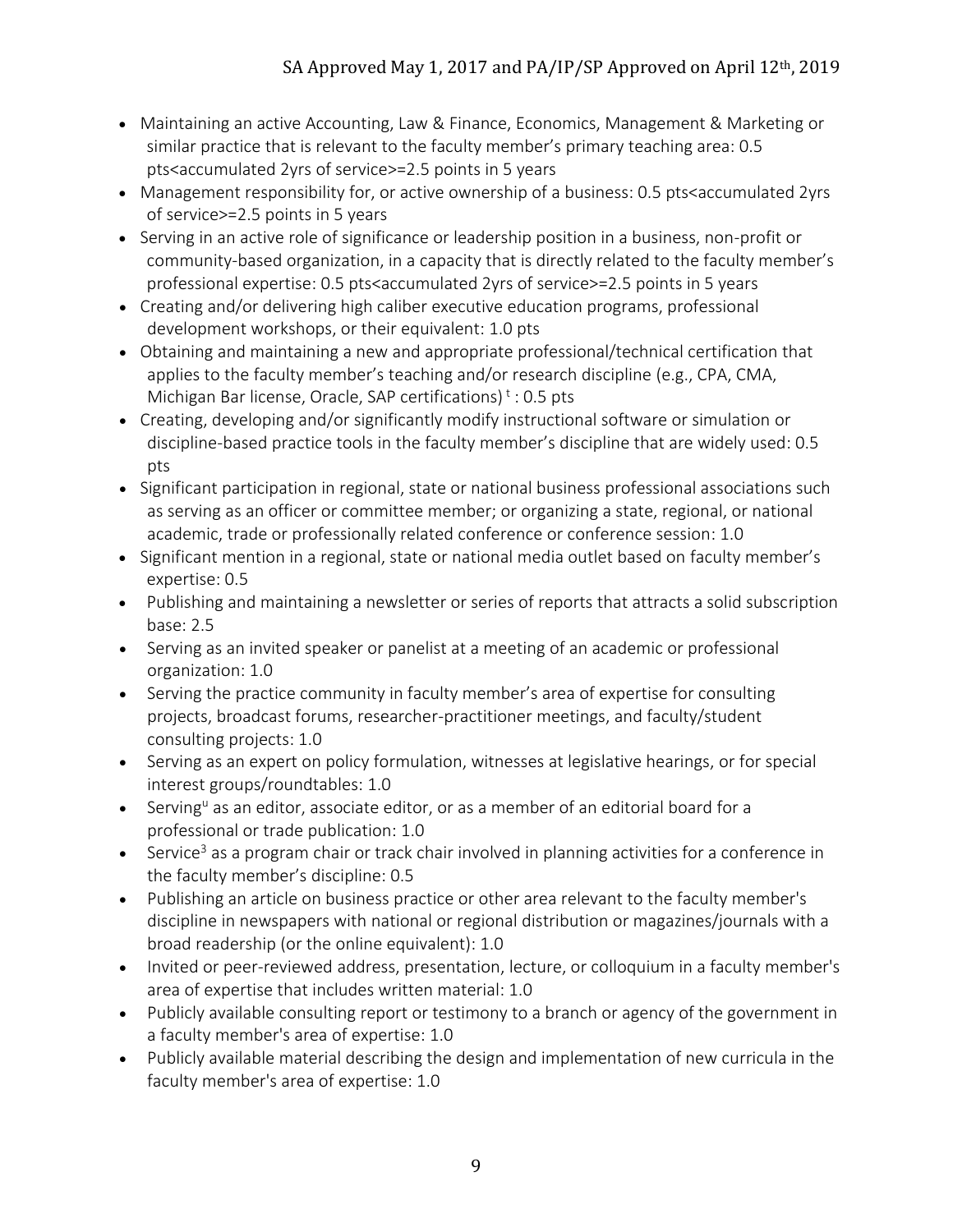- Maintaining an active Accounting, Law & Finance, Economics, Management & Marketing or similar practice that is relevant to the faculty member's primary teaching area: 0.5 pts<accumulated 2yrs of service>=2.5 points in 5 years
- Management responsibility for, or active ownership of a business: 0.5 pts<accumulated 2yrs of service>=2.5 points in 5 years
- Serving in an active role of significance or leadership position in a business, non-profit or community-based organization, in a capacity that is directly related to the faculty member's professional expertise: 0.5 pts<accumulated 2yrs of service>=2.5 points in 5 years
- Creating and/or delivering high caliber executive education programs, professional development workshops, or their equivalent: 1.0 pts
- Obtaining and maintaining a new and appropriate professional/technical certification that applies to the faculty member's teaching and/or research discipline (e.g., CPA, CMA, Michigan Bar license, Oracle, SAP certifications)<sup>t</sup>: 0.5 pts
- Creating, developing and/or significantly modify instructional software or simulation or discipline-based practice tools in the faculty member's discipline that are widely used: 0.5 pts
- Significant participation in regional, state or national business professional associations such as serving as an officer or committee member; or organizing a state, regional, or national academic, trade or professionally related conference or conference session: 1.0
- Significant mention in a regional, state or national media outlet based on faculty member's expertise: 0.5
- Publishing and maintaining a newsletter or series of reports that attracts a solid subscription base: 2.5
- Serving as an invited speaker or panelist at a meeting of an academic or professional organization: 1.0
- Serving the practice community in faculty member's area of expertise for consulting projects, broadcast forums, researcher-practitioner meetings, and faculty/student consulting projects: 1.0
- Serving as an expert on policy formulation, witnesses at legislative hearings, or for special interest groups/roundtables: 1.0
- Serving<sup>u</sup> as an editor, associate editor, or as a member of an editorial board for a professional or trade publication: 1.0
- Service<sup>3</sup> as a program chair or track chair involved in planning activities for a conference in the faculty member's discipline: 0.5
- Publishing an article on business practice or other area relevant to the faculty member's discipline in newspapers with national or regional distribution or magazines/journals with a broad readership (or the online equivalent): 1.0
- Invited or peer-reviewed address, presentation, lecture, or colloquium in a faculty member's area of expertise that includes written material: 1.0
- Publicly available consulting report or testimony to a branch or agency of the government in a faculty member's area of expertise: 1.0
- Publicly available material describing the design and implementation of new curricula in the faculty member's area of expertise: 1.0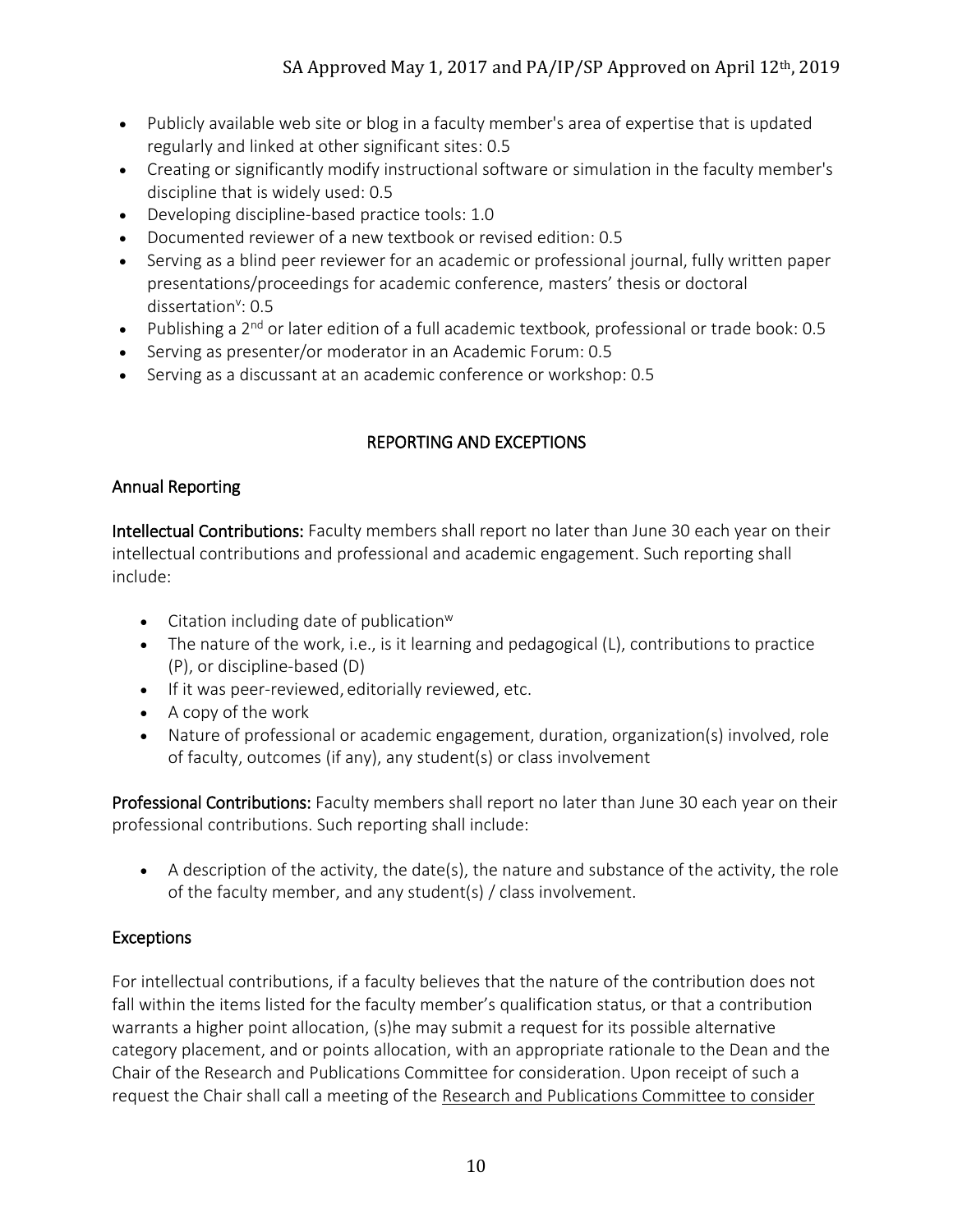- Publicly available web site or blog in a faculty member's area of expertise that is updated regularly and linked at other significant sites: 0.5
- Creating or significantly modify instructional software or simulation in the faculty member's discipline that is widely used: 0.5
- Developing discipline-based practice tools: 1.0
- Documented reviewer of a new textbook or revised edition: 0.5
- Serving as a blind peer reviewer for an academic or professional journal, fully written paper presentations/proceedings for academic conference, masters' thesis or doctoral dissertation<sup>v</sup>: 0.5
- Publishing a  $2^{nd}$  or later edition of a full academic textbook, professional or trade book: 0.5
- Serving as presenter/or moderator in an Academic Forum: 0.5
- Serving as a discussant at an academic conference or workshop: 0.5

## REPORTING AND EXCEPTIONS

### Annual Reporting

Intellectual Contributions: Faculty members shall report no later than June 30 each year on their intellectual contributions and professional and academic engagement. Such reporting shall include:

- Citation including date of publication $w$
- The nature of the work, i.e., is it learning and pedagogical  $(L)$ , contributions to practice (P), or discipline-based (D)
- If it was peer-reviewed, editorially reviewed, etc.
- A copy of the work
- Nature of professional or academic engagement, duration, organization(s) involved, role of faculty, outcomes (if any), any student(s) or class involvement

Professional Contributions: Faculty members shall report no later than June 30 each year on their professional contributions. Such reporting shall include:

• A description of the activity, the date(s), the nature and substance of the activity, the role of the faculty member, and any student(s) / class involvement.

## **Exceptions**

For intellectual contributions, if a faculty believes that the nature of the contribution does not fall within the items listed for the faculty member's qualification status, or that a contribution warrants a higher point allocation, (s)he may submit a request for its possible alternative category placement, and or points allocation, with an appropriate rationale to the Dean and the Chair of the Research and Publications Committee for consideration. Upon receipt of such a request the Chair shall call a meeting of the Research and Publications Committee to consider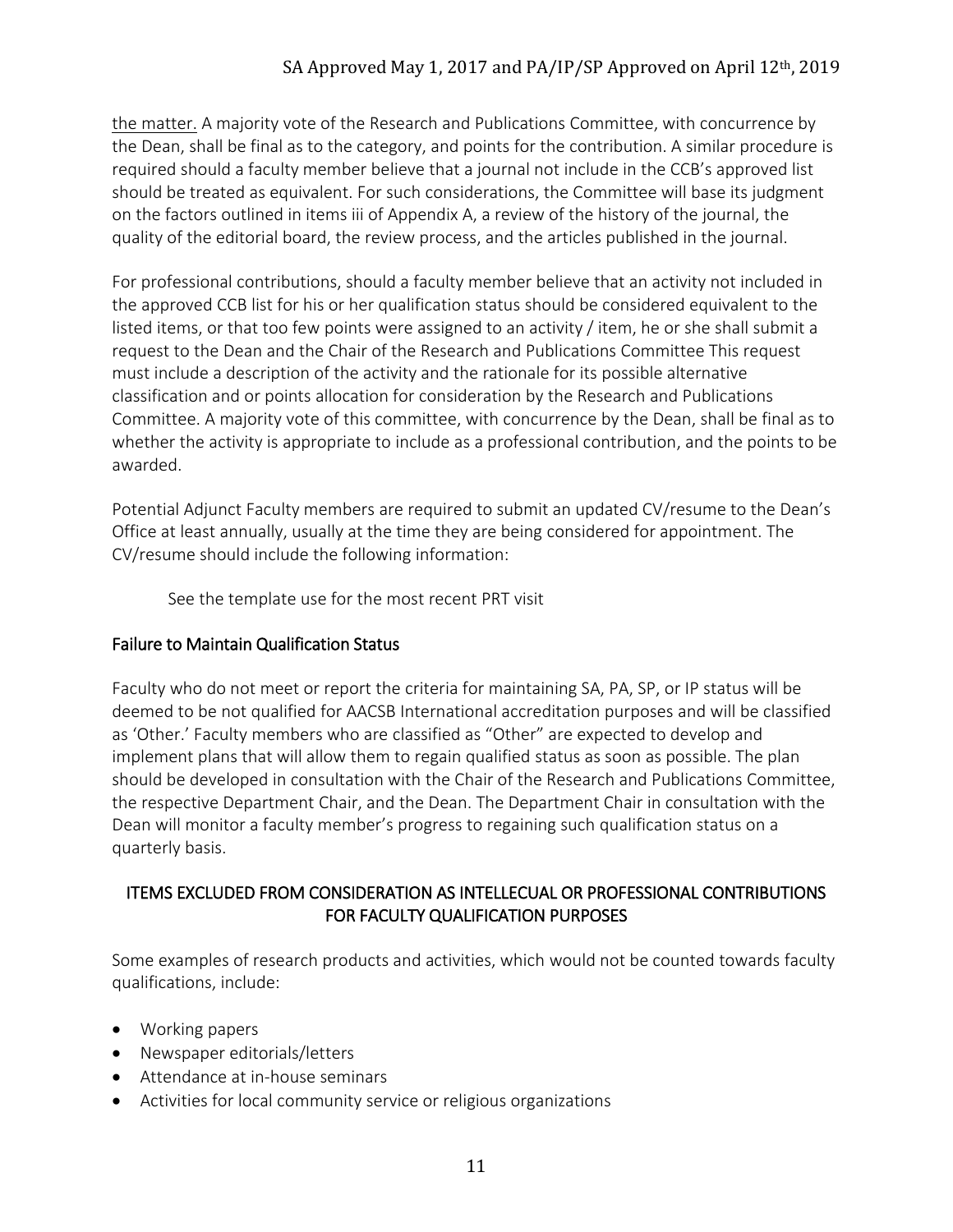## SA Approved May 1, 2017 and PA/IP/SP Approved on April 12<sup>th</sup>, 2019

the matter. A majority vote of the Research and Publications Committee, with concurrence by the Dean, shall be final as to the category, and points for the contribution. A similar procedure is required should a faculty member believe that a journal not include in the CCB's approved list should be treated as equivalent. For such considerations, the Committee will base its judgment on the factors outlined in items iii of Appendix A, a review of the history of the journal, the quality of the editorial board, the review process, and the articles published in the journal.

For professional contributions, should a faculty member believe that an activity not included in the approved CCB list for his or her qualification status should be considered equivalent to the listed items, or that too few points were assigned to an activity / item, he or she shall submit a request to the Dean and the Chair of the Research and Publications Committee This request must include a description of the activity and the rationale for its possible alternative classification and or points allocation for consideration by the Research and Publications Committee. A majority vote of this committee, with concurrence by the Dean, shall be final as to whether the activity is appropriate to include as a professional contribution, and the points to be awarded.

Potential Adjunct Faculty members are required to submit an updated CV/resume to the Dean's Office at least annually, usually at the time they are being considered for appointment. The CV/resume should include the following information:

See the template use for the most recent PRT visit

#### Failure to Maintain Qualification Status

Faculty who do not meet or report the criteria for maintaining SA, PA, SP, or IP status will be deemed to be not qualified for AACSB International accreditation purposes and will be classified as 'Other.' Faculty members who are classified as "Other" are expected to develop and implement plans that will allow them to regain qualified status as soon as possible. The plan should be developed in consultation with the Chair of the Research and Publications Committee, the respective Department Chair, and the Dean. The Department Chair in consultation with the Dean will monitor a faculty member's progress to regaining such qualification status on a quarterly basis.

#### ITEMS EXCLUDED FROM CONSIDERATION AS INTELLECUAL OR PROFESSIONAL CONTRIBUTIONS FOR FACULTY QUALIFICATION PURPOSES

Some examples of research products and activities, which would not be counted towards faculty qualifications, include:

- Working papers
- Newspaper editorials/letters
- Attendance at in-house seminars
- Activities for local community service or religious organizations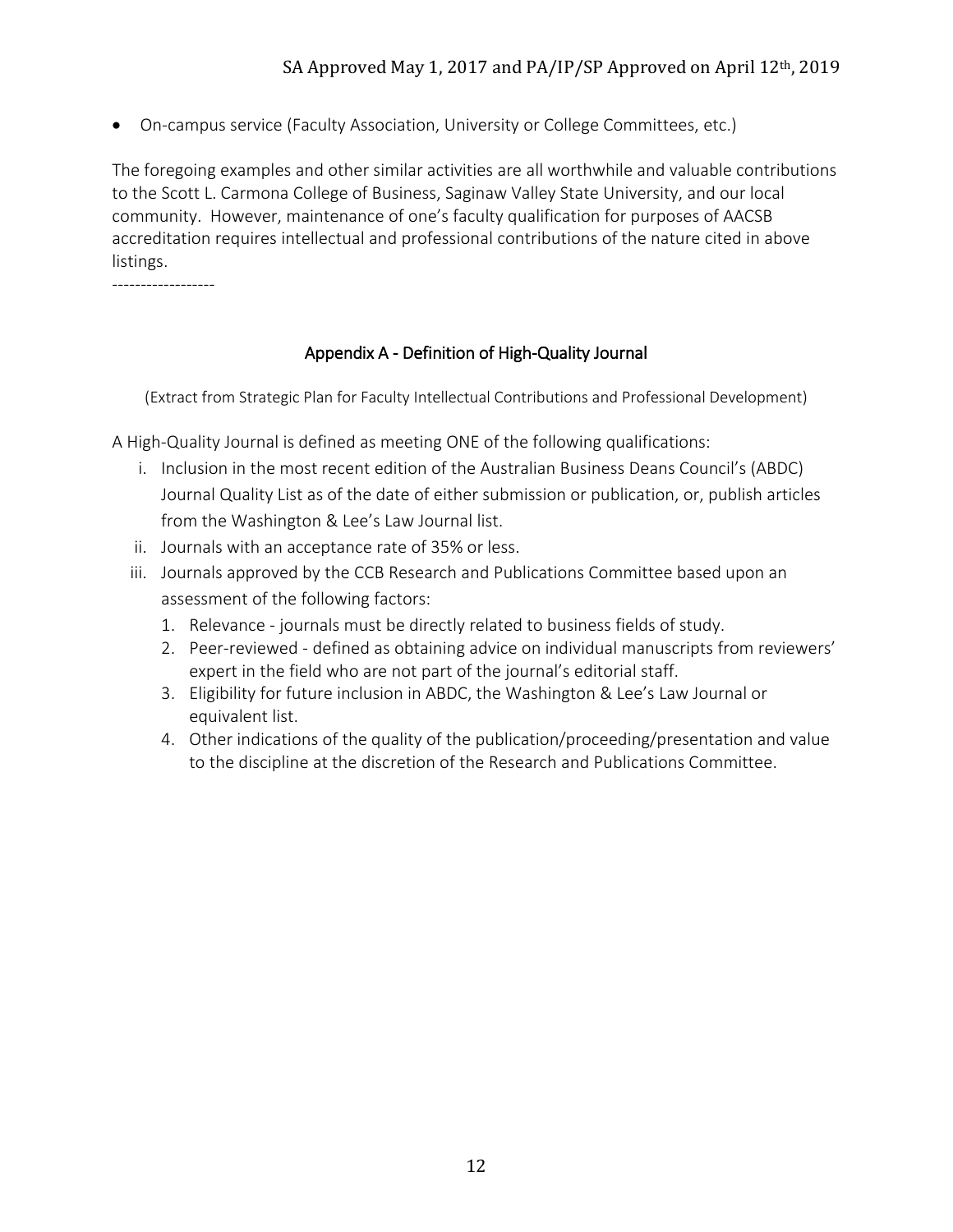• On-campus service (Faculty Association, University or College Committees, etc.)

The foregoing examples and other similar activities are all worthwhile and valuable contributions to the Scott L. Carmona College of Business, Saginaw Valley State University, and our local community. However, maintenance of one's faculty qualification for purposes of AACSB accreditation requires intellectual and professional contributions of the nature cited in above listings.

------------------

### Appendix A - Definition of High-Quality Journal

(Extract from Strategic Plan for Faculty Intellectual Contributions and Professional Development)

A High-Quality Journal is defined as meeting ONE of the following qualifications:

- i. Inclusion in the most recent edition of the Australian Business Deans Council's (ABDC) Journal Quality List as of the date of either submission or publication, or, publish articles from the Washington & Lee's Law Journal list.
- ii. Journals with an acceptance rate of 35% or less.
- iii. Journals approved by the CCB Research and Publications Committee based upon an assessment of the following factors:
	- 1. Relevance journals must be directly related to business fields of study.
	- 2. Peer-reviewed defined as obtaining advice on individual manuscripts from reviewers' expert in the field who are not part of the journal's editorial staff.
	- 3. Eligibility for future inclusion in ABDC, the Washington & Lee's Law Journal or equivalent list.
	- 4. Other indications of the quality of the publication/proceeding/presentation and value to the discipline at the discretion of the Research and Publications Committee.